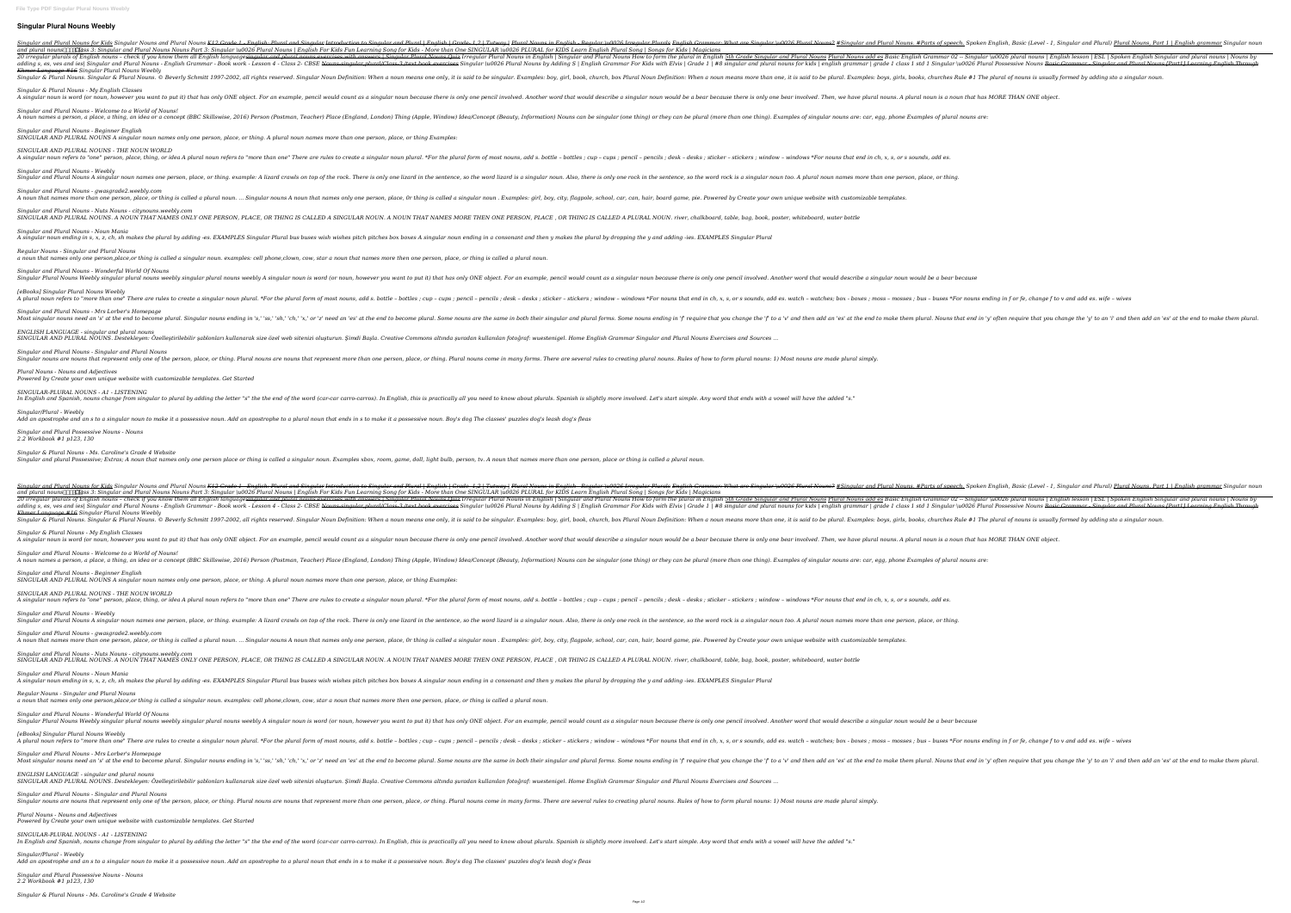## **Singular Plural Nouns Weebly**

-English - Reqular and Plural Nouns for Kids Singular Nouns and Plural Nouns <del>K12 Grade 1 - English: Plural and Singular Introduction to Singular Introduction to Singular and Plural Nouns. #Parts of speech, Spoken English,</del> and plural nouns□□□□□ass 3: Singular and Plural Nouns Nouns Part 3: Singular \u0026 Plural Nouns | English For Kids Fun Learning Song for Kids - More than One SINGULAR \u0026 PLURAL for KIDS Learn English Plural Song | So 20 irregular plurals of English nouns - check if you know them all English languagesingular and plural nouns exercises with answers | Singular and Plural Nouns add es Basic English Grammar 02 -- Singular and Plural Nouns I Inqular and iesl Sinqular and Plural Nouns - English Grammar - Book work - Lesson 4 - Class 2- CBSE Nouns-singular, plural nouns for kids | english Grammar For Kids with Elvis | Grade 1 | #8 singular (u0026 Plural Possessi *Khmer Language #16 Singular Plural Nouns Weebly* Singular & Plural Nouns. Singular & Plural Nouns. © Beverly Schmitt 1997-2002, all rights reserved. Singular Noun Definition: When a noun means one only, it is said to be singular. Examples: boys, girls, books, churches Ru *Singular & Plural Nouns - My English Classes* A singular noun is word (or noun, however you want to put it) that has only ONE object. For an example, pencil would be a bear involved. Then, we have plural nouns. A plural noun is a noun that has MORE THAN ONE object. *Singular and Plural Nouns - Welcome to a World of Nouns!* A noun names a person, a place, a thing, an idea or a concept (BBC Skillswise, 2016) Person (Postman, Teacher) Place (England, London) Thing (Apple, Window) Idea/Concept (Beauty, Information) Nouns can be singular (one thi *Singular and Plural Nouns - Beginner English SINGULAR AND PLURAL NOUNS A singular noun names only one person, place, or thing. A plural noun names more than one person, place, or thing Examples: SINGULAR AND PLURAL NOUNS - THE NOUN WORLD* A singular noun refers to "one" person, place, thing, or idea A plural noun refers to "more than one" There are rules to create a singular noun plural. \*For the plural form of most nouns, add s. bottle - bottles; cup - cup *Singular and Plural Nouns - Weebly* Singular and Plural Nouns A singular noun names one person, place, or thing. example: A lizard crawls on top of the rock. There is only one rock in the sentence, so the word rock is a singular noun too. A plural noun names *Singular and Plural Nouns - gwasgrade2.weebly.com* A noun that names more than one person, place, or thing is called a plural noun. ... Singular nouns A noun that names only one person, place, Or thing is called a singular noun . Examples: girl, boy, city, flagpole, school *Singular and Plural Nouns - Nuts Nouns - citynouns.weebly.com* SINGULAR AND PLURAL NOUNS. A NOUN THAT NAMES ONLY ONE PERSON, PLACE, OR THING IS CALLED A SINGULAR NOUN. A NOUN THAT NAMES MORE THEN ONE PERSON, PLACE , OR THING IS CALLED A PLURAL NOUN. river, chalkboard, table, bag, book *Singular and Plural Nouns - Noun Mania* A singular noun ending in s, x, z, ch, sh makes the plural by adding -es. EXAMPLES Singular Plural bus buses wish wishes pitch pitches box boxes A singular noun ending in a consonant and then y makes the plural by dropping *Regular Nouns - Singular and Plural Nouns a noun that names only one person,place,or thing is called a singular noun. examples: cell phone,clown, cow, star a noun that names more then one person, place, or thing is called a plural noun. Singular and Plural Nouns - Wonderful World Of Nouns* Singular Plural Nouns Weebly singular plural nouns weebly singular plural nouns weebly A singular noun is word (or noun, however you want to put it) that has only ONE object. For an example, pencil involved. Another word t *[eBooks] Singular Plural Nouns Weebly* A plural noun refers to "more than one" There are rules to create a singular noun plural. \*For the plural. \*For the plural form of most nouns, add s. bottle - bottles; box - boxes ; moss - mosses ; bus - buses \*For nouns e *Singular and Plural Nouns - Mrs Lorber's Homepage* Most singular nouns need an 's' at the end to become plural. Singular nouns ending in 's,' 'ss,' 'sh,' 'ch,' 'x,' or 'z' need an 'es' at the end to become plural. Some nouns are the same in both their singular and plural. *ENGLISH LANGUAGE - singular and plural nouns* SINGULAR AND PLURAL NOUNS. Destekleyen: Özelleştirilebilir şablonları kullanarak size özel web sitenizi oluşturun. Şimdi Başla. Creative Commons altında şuradan kullanılan fotoğraf: wuestenigel. Home English Grammar Singul *Singular and Plural Nouns - Singular and Plural Nouns* Singular nouns are nouns that represent only one of the person, place, or thing. Plural nouns are nouns that represent more than one person, place, or thing. Plural nouns. Rules of how to form plural nouns: 1) Most nouns a *Plural Nouns - Nouns and Adjectives Powered by Create your own unique website with customizable templates. Get Started SINGULAR-PLURAL NOUNS - A1 - LISTENING* In English and Spanish, nouns change from singular to plural by adding the letter "s" the the end of the word (car-car carro-carros). In English, this is practically all you need to know about plurals. Spanish is slightly *Singular/Plural - Weebly Add an apostrophe and an s to a singular noun to make it a possessive noun. Add an apostrophe to a plural noun that ends in s to make it a possessive noun. Boy's dog The classes' puzzles dog's leash dog's fleas Singular and Plural Possessive Nouns - Nouns 2.2 Workbook #1 p123, 130 Singular & Plural Nouns - Ms. Caroline's Grade 4 Website* Singular and plural Possessive; Extras; A noun that names only one person place or thing is called a singular noun. Examples xbox, room, game, doll, light bulb, person, tv. A noun that names more than one person, place or Singular and Plural Nouns for Kids Singular Nouns and Plural Nouns <del>K12 Grade 1 - English: Plural and Singular Introduction to Singular Introduction to Singular and Plural Nouns. #Parts of speech. Spoken English Are Singul</del> and plural nouns∏∏¶@ass 3: Singular and Plural Nouns Nouns Part 3: Singular \u0026 Plural Nouns | English For Kids Fun Learning Song for Kids - More than One SINGULAR \u0026 PLURAL for KIDS Learn English Plural Song | Son 20 irregular plurals of English nouns - check if you know them all English language<del>singular and plural nouns exercises with answers | Singular and Plural Nouns in English Isingular and Plural Nouns How to form the plural </del> adding s, es, ves and ies| Singular and Plural Nouns - English Grammar - Book work - Lesson 4 - Class 2- CBSE Nouns-singular, plural nouns for kids with Elvis | Grade 1 | #8 singular (u0026 Plural Possessive Nouns Basic Gr *Khmer Language #16 Singular Plural Nouns Weebly* Singular & Plural Nouns. Singular & Plural Nouns. © Beverly Schmitt 1997-2002, all rights reserved. Singular Noun Definition: When a noun means more than one, it is said to be singular. Examples: boy, girl, book, church, b *Singular & Plural Nouns - My English Classes* A singular noun is word (or noun, however you want to put it) that has only ONE object. For an example, pencil would be a bear because there is only one bear involved. Then, we have plural nouns. A plural noun is a noun th *Singular and Plural Nouns - Welcome to a World of Nouns!* A noun names a person, a place, a thing, an idea or a concept (BBC Skillswise, 2016) Person (Postman, Teacher) Place (England, London) Thing (Apple, Window) Idea/Concept (Beauty, Information) Nouns can be singular (one thi *Singular and Plural Nouns - Beginner English SINGULAR AND PLURAL NOUNS A singular noun names only one person, place, or thing. A plural noun names more than one person, place, or thing Examples: SINGULAR AND PLURAL NOUNS - THE NOUN WORLD* A singular noun refers to "one" person, place, thing, or idea A plural noun refers to "more than one" There are rules to create a singular noun plural. \*For the plural form of most nouns, add s. bottle - bottles ; cup - cu *Singular and Plural Nouns - Weebly* Singular and Plural Nouns A singular noun names one person, place, or thing. example: A lizard crawls on top of the rock. There is only one rock in the sentence, so the word rock is a singular noun too. A plural noun names *Singular and Plural Nouns - gwasgrade2.weebly.com* A noun that names more than one person, place, or thing is called a plural noun. ... Singular noun. ... Singular nouns A noun that names only one person, place, Or thing is called a singular noun. Examples: girl, boy, city *Singular and Plural Nouns - Nuts Nouns - citynouns.weebly.com* SINGULAR AND PLURAL NOUNS. A NOUN THAT NAMES ONLY ONE PERSON, PLACE, OR THING IS CALLED A SINGULAR NOUN. A NOUN THAT NAMES MORE THEN ONE PERSON, PLACE , OR THING IS CALLED A PLURAL NOUN. river, chalkboard, table, bag, book *Singular and Plural Nouns - Noun Mania* A singular noun ending in s, x, z, ch, sh makes the plural by adding -es. EXAMPLES Singular Plural bus buses wish wishes pitch pitches box boxes A singular noun ending in a consonant and then y makes the plural by dropping *Regular Nouns - Singular and Plural Nouns a noun that names only one person,place,or thing is called a singular noun. examples: cell phone,clown, cow, star a noun that names more then one person, place, or thing is called a plural noun. Singular and Plural Nouns - Wonderful World Of Nouns* Singular Plural Nouns Weebly singular plural nouns weebly singular plural nouns weebly A singular noun is word (or noun, however you want to put it) that has only ONE object. For an example, pencil involved. Another word t *[eBooks] Singular Plural Nouns Weebly* A plural noun refers to "more than one" There are rules to create a singular noun plural. \*For the plural. \*For the plural form of most nouns, add s. bottle - bottles; box - boxes ; moss - mosses ; bus - buses \*For nouns e *Singular and Plural Nouns - Mrs Lorber's Homepage* Most singular nouns need an 's' at the end to become plural. Singular nouns ending in 's,' 'ss,' 'sh,' 'ch,' 'x,' or 'z' need an 'es' at the end to become plural. Some nouns are the same in both their singular and plural. *ENGLISH LANGUAGE - singular and plural nouns* SINGULAR AND PLURAL NOUNS. Destekleyen: Özelleştirilebilir şablonları kullanarak size özel web sitenizi oluşturun. Şimdi Başla. Creative Commons altında şuradan kullanılan fotoğraf: wuestenigel. Home English Grammar Singul *Singular and Plural Nouns - Singular and Plural Nouns* Singular nouns are nouns that represent only one of the person, place, or thing. Plural nouns are nouns that represent more than one person, place, or thing. Plural nouns. There are several rules to creating plural nouns. *Plural Nouns - Nouns and Adjectives Powered by Create your own unique website with customizable templates. Get Started SINGULAR-PLURAL NOUNS - A1 - LISTENING* In English and Spanish, nouns change from singular to plural by adding the letter "s" the the end of the word (car-car carro-carros). In English, this is practically all you need to know about plurals. Spanish is slightly *Singular/Plural - Weebly Add an apostrophe and an s to a singular noun to make it a possessive noun. Add an apostrophe to a plural noun that ends in s to make it a possessive noun. Boy's dog The classes' puzzles dog's leash dog's fleas*

*Singular and Plural Possessive Nouns - Nouns*

*2.2 Workbook #1 p123, 130*

*Singular & Plural Nouns - Ms. Caroline's Grade 4 Website*